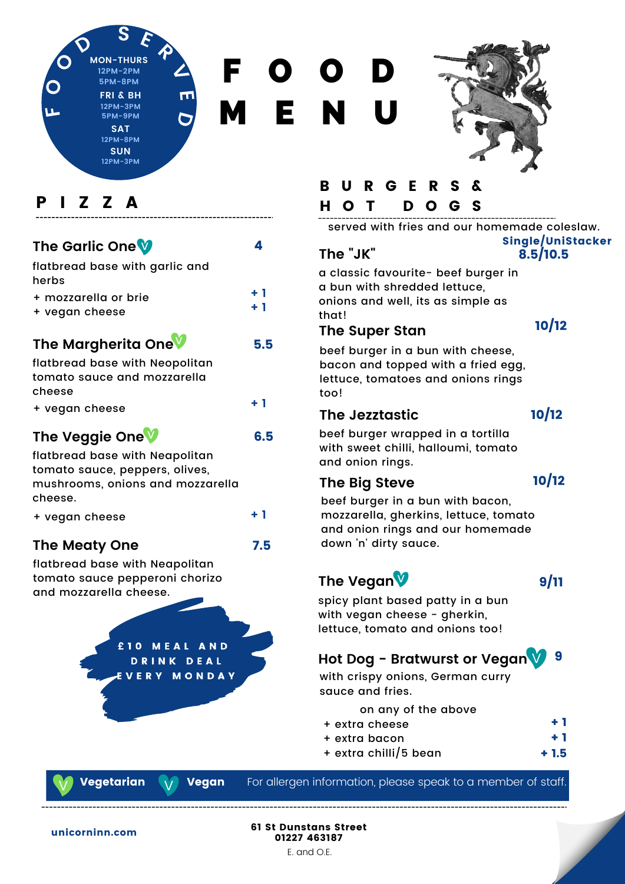**D S E R**<br> **MON-THURS 12PM-2PM 5PM-8PM SAT 12PM-8PM FRI & BH 12PM-3PM 5PM-9PM**

> **SUN 12PM-3PM**

**V**

**E**

**D**

F O O D M E N U

5.5

6.5

**+ 1**

4

**+ 1**



## P I Z Z A

**F**

**O**

**O**

## **The Garlic One** v

| flatbread base with garlic and |  |
|--------------------------------|--|
| herbs                          |  |
| + mozzarella or brie           |  |

|  |  | + vegan cheese |
|--|--|----------------|
|--|--|----------------|

## **The Margherita One** v

| flatbread base with Neopolitan |      |
|--------------------------------|------|
| tomato sauce and mozzarella    |      |
| cheese                         |      |
| + vegan cheese                 | $+1$ |

## **The Veggie One** v

flatbread base with Neapolitan tomato sauce, peppers, olives, mushrooms, onions and mozzarella cheese.

| + vegan cheese |  |
|----------------|--|
|----------------|--|

#### **The Meaty One** 7.5

flatbread base with Neapolitan tomato sauce pepperoni chorizo and mozzarella cheese.



**Vegan** 

# B U R G E R

## H O T D O G S

served with fries and our homemade coleslaw.

### **The "JK"**

8.5/10.5 Single/UniStacker

a classic favourite- beef burger in a bun with shredded lettuce, onions and well, its as simple as that!

#### 10/12

# **The Super Stan** beef burger in a bun with cheese,

bacon and topped with a fried egg, lettuce, tomatoes and onions rings too!

### **The Jezztastic**

10/12

beef burger wrapped in a tortilla with sweet chilli, halloumi, tomato and onion rings.

#### **The Big Steve**

### 10/12

beef burger in a bun with bacon, mozzarella, gherkins, lettuce, tomato and onion rings and our homemade down 'n' dirty sauce.

## **The Vegan** v

9/11

spicy plant based patty in a bun with vegan cheese - gherkin, lettuce, tomato and onions too!

## **Hot Dog - Bratwurst or Vegan** 9 v

with crispy onions, German curry sauce and fries.

on any of the above

- + extra cheese + 1
- + extra bacon + 1
- + extra chilli/5 bean + 1.5

**Vegetarian** 

For allergen information, please speak to a member of staff.



61 St Dunstans Street 01227 463187 E. and O.E.